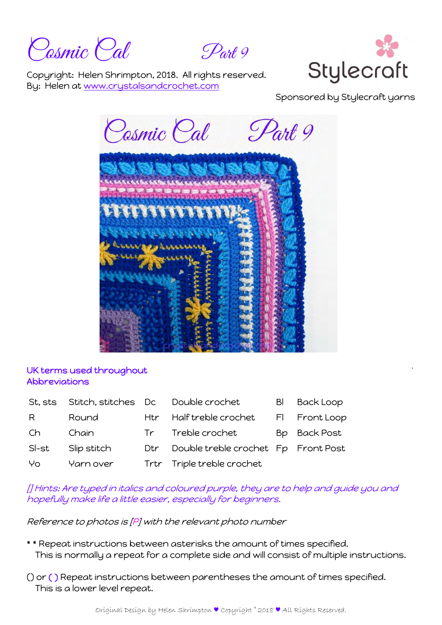Cosmic Cal Part 9



Copyright: Helen Shrimpton, 2018. All rights reserved. By: Helen at www.crystalsandcrochet.com

Sponsored by Stylecraft yarns

Cosmic Cal Part 9 **ALESSS** 

## UK terms used throughout Abbreviations

| St. sts |             |                 | Stitch, stitches Dc Double crochet  | BI | <b>Back Loop</b> |
|---------|-------------|-----------------|-------------------------------------|----|------------------|
| R.      | Round       |                 | Htr Half treble crochet             |    | FI Front Loop    |
| Ch      | Chain       | Tr <sub>1</sub> | Treble crochet                      |    | Bp Back Post     |
| SI-st   | Slip stitch | Dtr             | Double treble crochet Fp Front Post |    |                  |
| Yo      | Yarn over   |                 | Trtr Triple treble crochet          |    |                  |

[] Hints: Are typed in italics and coloured purple, they are to help and guide you and hopefully make life a little easier, especially for beginners.

Reference to photos is [P] with the relevant photo number

- \* \* Repeat instructions between asterisks the amount of times specified. This is normally a repeat for a complete side and will consist of multiple instructions.
- () or ( ) Repeat instructions between parentheses the amount of times specified. This is a lower level repeat.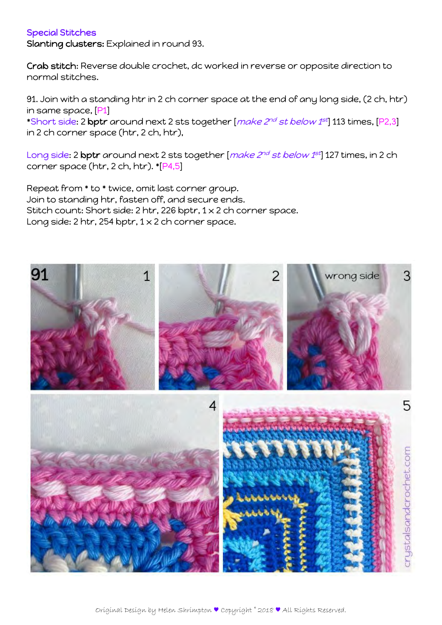## Special Stitches

Slanting clusters: Explained in round 93.

Crab stitch: Reverse double crochet, dc worked in reverse or opposite direction to normal stitches.

91. Join with a standing htr in 2 ch corner space at the end of any long side, (2 ch, htr) in same space, [P1]

\*Short side: 2 bptr around next 2 sts together [ $make$   $2^{nd}$  st below  $1^{st}$ ] 113 times, [P2,3] in 2 ch corner space (htr, 2 ch, htr),

Long side: 2 bptr around next 2 sts together [make 2<sup>nd</sup> st below 1st] 127 times, in 2 ch corner space (htr, 2 ch, htr). \*[P4,5]

Repeat from \* to \* twice, omit last corner group. Join to standing htr, fasten off, and secure ends. Stitch count: Short side: 2 htr, 226 bptr, 1 x 2 ch corner space. Long side: 2 htr, 254 bptr,  $1 \times 2$  ch corner space.

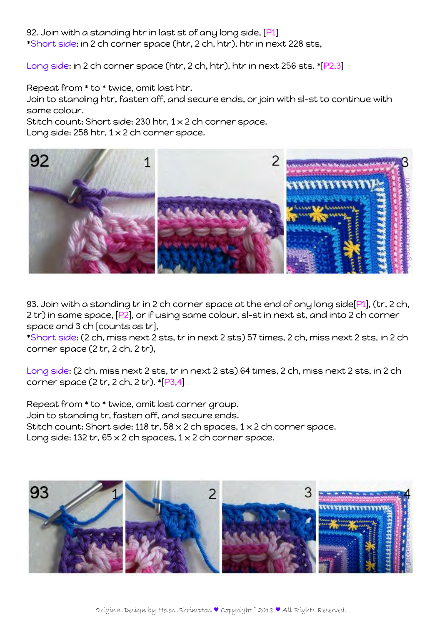92. Join with a standing htr in last st of any long side, [P1] \*Short side: in 2 ch corner space (htr, 2 ch, htr), htr in next 228 sts,

Long side: in 2 ch corner space (htr, 2 ch, htr), htr in next 256 sts. \*[P2,3]

Repeat from \* to \* twice, omit last htr.

Join to standing htr, fasten off, and secure ends, or join with sl-st to continue with same colour.

Stitch count: Short side: 230 htr, 1 x 2 ch corner space.

Long side: 258 htr,  $1 \times 2$  ch corner space.



93. Join with a standing tr in 2 ch corner space at the end of any long side[P1], (tr, 2 ch, 2 tr) in same space, [P2], or if using same colour, sl-st in next st, and into 2 ch corner space and 3 ch [counts as tr],

\*Short side: (2 ch, miss next 2 sts, tr in next 2 sts) 57 times, 2 ch, miss next 2 sts, in 2 ch corner space (2 tr, 2 ch, 2 tr),

Long side: (2 ch, miss next 2 sts, tr in next 2 sts) 64 times, 2 ch, miss next 2 sts, in 2 ch corner space  $(2 tr, 2 ch, 2 tr)$ . \* $[P3,4]$ 

Repeat from \* to \* twice, omit last corner group. Join to standing tr, fasten off, and secure ends. Stitch count: Short side: 118 tr, 58 x 2 ch spaces, 1 x 2 ch corner space. Long side: 132 tr,  $65 \times 2$  ch spaces,  $1 \times 2$  ch corner space.

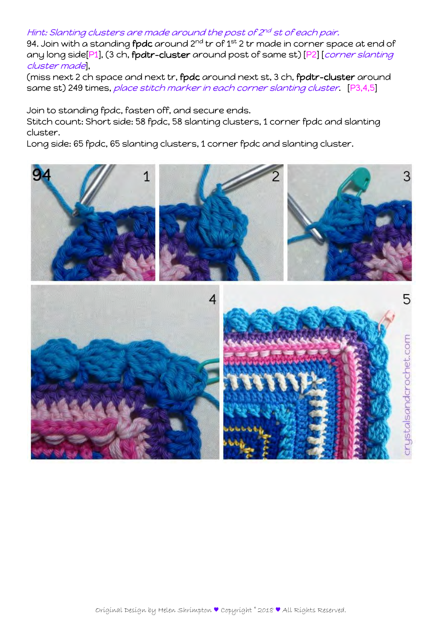## Hint: Slanting clusters are made around the post of 2<sup>nd</sup> st of each pair.

94. Join with a standing **fpdc** around 2<sup>nd</sup> tr of 1<sup>st</sup> 2 tr made in corner space at end of any long side[P1], (3 ch, fpdtr-cluster around post of same st) [P2] [corner slanting cluster made],

(miss next 2 ch space and next tr, fpdc around next st, 3 ch, fpdtr-cluster around same st) 249 times, *place stitch marker in each corner slanting cluster* [P3,4,5]

Join to standing fpdc, fasten off, and secure ends.

Stitch count: Short side: 58 fpdc, 58 slanting clusters, 1 corner fpdc and slanting cluster.

Long side: 65 fpdc, 65 slanting clusters, 1 corner fpdc and slanting cluster.